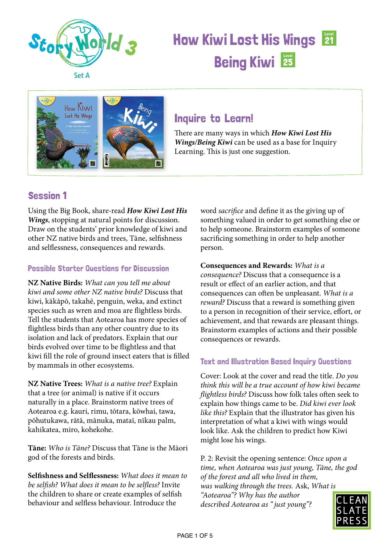



### Inquire to Learn!

There are many ways in which *How Kiwi Lost His Wings/Being Kiwi* can be used as a base for Inquiry Learning. This is just one suggestion.

### Session 1

Using the Big Book, share-read *How Kiwi Lost His Wings*, stopping at natural points for discussion. Draw on the students' prior knowledge of kiwi and other NZ native birds and trees, Tāne, selfishness and selflessness, consequences and rewards.

#### Possible Starter Questions for Discussion

**NZ Native Birds:** *What can you tell me about kiwi and some other NZ native birds?* Discuss that kiwi, kākāpō, takahē, penguin, weka, and extinct species such as wren and moa are flightless birds. Tell the students that Aotearoa has more species of flightless birds than any other country due to its isolation and lack of predators. Explain that our birds evolved over time to be flightless and that kiwi fill the role of ground insect eaters that is filled by mammals in other ecosystems.

**NZ Native Trees:** *What is a native tree?* Explain that a tree (or animal) is native if it occurs naturally in a place. Brainstorm native trees of Aotearoa e.g. kauri, rimu, tōtara, kōwhai, tawa, pōhutukawa, rātā, mānuka, mataī, nīkau palm, kahikatea, miro, kohekohe.

**Tāne:** *Who is Tāne?* Discuss that Tāne is the Māori god of the forests and birds.

**Selfishness and Selflessness:** *What does it mean to be selfish? What does it mean to be selfless?* Invite the children to share or create examples of selfish behaviour and selfless behaviour. Introduce the

word *sacrifice* and define it as the giving up of something valued in order to get something else or to help someone. Brainstorm examples of someone sacrificing something in order to help another person.

**Consequences and Rewards:** *What is a consequence?* Discuss that a consequence is a result or effect of an earlier action, and that consequences can often be unpleasant. *What is a reward?* Discuss that a reward is something given to a person in recognition of their service, effort, or achievement, and that rewards are pleasant things. Brainstorm examples of actions and their possible consequences or rewards.

#### Text and Illustration Based Inquiry Questions

Cover: Look at the cover and read the title. *Do you think this will be a true account of how kiwi became flightless birds?* Discuss how folk tales often seek to explain how things came to be. *Did kiwi ever look like this?* Explain that the illustrator has given his interpretation of what a kiwi with wings would look like. Ask the children to predict how Kiwi might lose his wings.

P. 2: Revisit the opening sentence: *Once upon a time, when Aotearoa was just young, Tāne, the god of the forest and all who lived in them, was walking through the trees.* Ask, *What is "Aotearoa"? Why has the author described Aotearoa as " just young"?* 

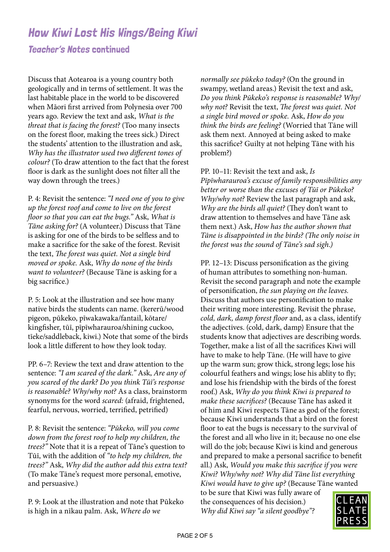Teacher's Notes continued

Discuss that Aotearoa is a young country both geologically and in terms of settlement. It was the last habitable place in the world to be discovered when Māori first arrived from Polynesia over 700 years ago. Review the text and ask, *What is the threat that is facing the forest?* (Too many insects on the forest floor, making the trees sick.) Direct the students' attention to the illustration and ask, *Why has the illustrator used two different tones of colour?* (To draw attention to the fact that the forest floor is dark as the sunlight does not filter all the way down through the trees.)

P. 4: Revisit the sentence: *"I need one of you to give up the forest roof and come to live on the forest floor so that you can eat the bugs."* Ask, *What is Tāne asking for?* (A volunteer.) Discuss that Tāne is asking for one of the birds to be selfless and to make a sacrifice for the sake of the forest. Revisit the text, *The forest was quiet. Not a single bird moved or spoke.* Ask, *Why do none of the birds want to volunteer?* (Because Tāne is asking for a big sacrifice.)

P. 5: Look at the illustration and see how many native birds the students can name. (kererū/wood pigeon, pūkeko, pīwakawaka/fantail, kōtare/ kingfisher, tūī, pīpīwharauroa/shining cuckoo, tīeke/saddleback, kiwi.) Note that some of the birds look a little different to how they look today.

PP. 6–7: Review the text and draw attention to the sentence: *"I am scared of the dark."* Ask, *Are any of you scared of the dark? Do you think Tūī's response is reasonable? Why/why not?* As a class, brainstorm synonyms for the word *scared:* (afraid, frightened, fearful, nervous, worried, terrified, petrified)

P. 8: Revisit the sentence: *"Pūkeko, will you come down from the forest roof to help my children, the trees?"* Note that it is a repeat of Tāne's question to Tūī, with the addition of *"to help my children, the trees?"* Ask, *Why did the author add this extra text?*  (To make Tāne's request more personal, emotive, and persuasive.)

P. 9: Look at the illustration and note that Pūkeko is high in a nīkau palm. Ask, *Where do we* 

*normally see pūkeko today?* (On the ground in swampy, wetland areas.) Revisit the text and ask, *Do you think Pūkeko's response is reasonable? Why/ why not?* Revisit the text, *The forest was quiet. Not a single bird moved or spoke.* Ask, *How do you think the birds are feeling?* (Worried that Tāne will ask them next. Annoyed at being asked to make this sacrifice? Guilty at not helping Tāne with his problem?)

PP. 10–11: Revisit the text and ask, *Is Pīpīwharauroa's excuse of family responsibilities any better or worse than the excuses of Tūī or Pūkeko? Why/why not?* Review the last paragraph and ask, *Why are the birds all quiet?* (They don't want to draw attention to themselves and have Tāne ask them next.) Ask, *How has the author shown that Tāne is disappointed in the birds? (The only noise in the forest was the sound of Tāne's sad sigh.)*

PP. 12–13: Discuss personification as the giving of human attributes to something non-human. Revisit the second paragraph and note the example of personification, *the sun playing on the leaves.*  Discuss that authors use personification to make their writing more interesting. Revisit the phrase, *cold, dark, damp forest floor* and, as a class, identify the adjectives. (cold, dark, damp) Ensure that the students know that adjectives are describing words. Together, make a list of all the sacrifices Kiwi will have to make to help Tāne. (He will have to give up the warm sun; grow thick, strong legs; lose his colourful feathers and wings; lose his ablity to fly; and lose his friendship with the birds of the forest roof.) Ask, *Why do you think Kiwi is prepared to make these sacrifices?* (Because Tāne has asked it of him and Kiwi respects Tāne as god of the forest; because Kiwi understands that a bird on the forest floor to eat the bugs is necessary to the survival of the forest and all who live in it; because no one else will do the job; because Kiwi is kind and generous and prepared to make a personal sacrifice to benefit all.) Ask, *Would you make this sacrifice if you were Kiwi? Why/why not? Why did Tāne list everything Kiwi would have to give up?* (Because Tāne wanted

to be sure that Kiwi was fully aware of the consequences of his decision.) *Why did Kiwi say "a silent goodbye"?* 

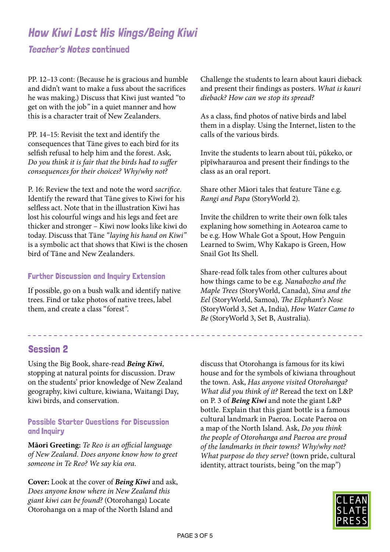#### Teacher's Notes continued

PP. 12–13 cont: (Because he is gracious and humble and didn't want to make a fuss about the sacrifices he was making.) Discuss that Kiwi just wanted "to get on with the job*"* in a quiet manner and how this is a character trait of New Zealanders.

PP. 14–15: Revisit the text and identify the consequences that Tāne gives to each bird for its selfish refusal to help him and the forest. Ask, *Do you think it is fair that the birds had to suffer consequences for their choices? Why/why not?*

P. 16: Review the text and note the word *sacrifice.*  Identify the reward that Tāne gives to Kiwi for his selfless act. Note that in the illustration Kiwi has lost his colourful wings and his legs and feet are thicker and stronger – Kiwi now looks like kiwi do today. Discuss that Tāne *"laying his hand on Kiwi"*  is a symbolic act that shows that Kiwi is the chosen bird of Tāne and New Zealanders.

#### Further Discussion and Inquiry Extension

If possible, go on a bush walk and identify native trees. Find or take photos of native trees, label them, and create a class "forest*"*.

Challenge the students to learn about kauri dieback and present their findings as posters. *What is kauri dieback? How can we stop its spread?*

As a class, find photos of native birds and label them in a display. Using the Internet, listen to the calls of the various birds.

Invite the students to learn about tūī, pūkeko, or pīpīwharauroa and present their findings to the class as an oral report.

Share other Māori tales that feature Tāne e.g. *Rangi and Papa* (StoryWorld 2).

Invite the children to write their own folk tales explaning how something in Aotearoa came to be e.g. How Whale Got a Spout, How Penguin Learned to Swim, Why Kakapo is Green, How Snail Got Its Shell.

Share-read folk tales from other cultures about how things came to be e.g. *Nanabozho and the Maple Trees* (StoryWorld, Canada), *Sina and the Eel* (StoryWorld, Samoa), *The Elephant*'*s Nose*  (StoryWorld 3, Set A, India), *How Water Came to Be* (StoryWorld 3, Set B, Australia).

\_\_\_\_\_\_\_\_\_\_\_\_\_\_\_\_\_\_\_\_\_\_\_\_\_\_\_\_

#### Session 2

Using the Big Book, share-read *Being Kiwi*, stopping at natural points for discussion. Draw on the students' prior knowledge of New Zealand geography, kiwi culture, kiwiana, Waitangi Day, kiwi birds, and conservation.

#### Possible Starter Questions for Discussion and Inquiry

**Māori Greeting:** *Te Reo is an official language of New Zealand. Does anyone know how to greet someone in Te Reo? We say kia ora.*

**Cover:** Look at the cover of *Being Kiwi* and ask, *Does anyone know where in New Zealand this giant kiwi can be found?* (Otorohanga) Locate Otorohanga on a map of the North Island and

discuss that Otorohanga is famous for its kiwi house and for the symbols of kiwiana throughout the town. Ask, *Has anyone visited Otorohanga? What did you think of it?* Reread the text on L&P on P. 3 of *Being Kiwi* and note the giant L&P bottle. Explain that this giant bottle is a famous cultural landmark in Paeroa. Locate Paeroa on a map of the North Island. Ask, *Do you think the people of Otorohanga and Paeroa are proud of the landmarks in their towns? Why/why not? What purpose do they serve?* (town pride, cultural identity, attract tourists, being "on the map*"*)

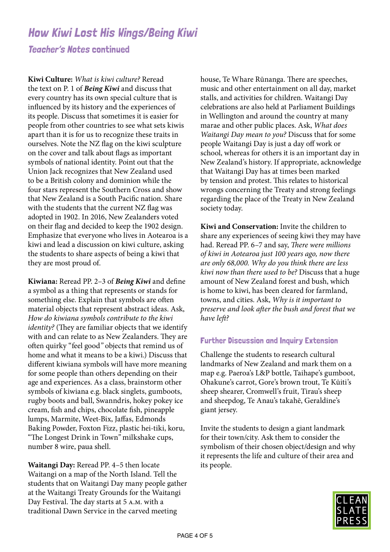#### Teacher's Notes continued

**Kiwi Culture:** *What is kiwi culture?* Reread the text on P. 1 of *Being Kiwi* and discuss that every country has its own special culture that is influenced by its history and the experiences of its people. Discuss that sometimes it is easier for people from other countries to see what sets kiwis apart than it is for us to recognize these traits in ourselves. Note the NZ flag on the kiwi sculpture on the cover and talk about flags as important symbols of national identity. Point out that the Union Jack recognizes that New Zealand used to be a British colony and dominion while the four stars represent the Southern Cross and show that New Zealand is a South Pacific nation. Share with the students that the current NZ flag was adopted in 1902. In 2016, New Zealanders voted on their flag and decided to keep the 1902 design. Emphasize that everyone who lives in Aotearoa is a kiwi and lead a discussion on kiwi culture, asking the students to share aspects of being a kiwi that they are most proud of.

**Kiwiana:** Reread PP. 2–3 of *Being Kiwi* and define a symbol as a thing that represents or stands for something else. Explain that symbols are often material objects that represent abstract ideas. Ask, *How do kiwiana symbols contribute to the kiwi identity?* (They are familiar objects that we identify with and can relate to as New Zealanders. They are often quirky "feel good*"* objects that remind us of home and what it means to be a kiwi.) Discuss that different kiwiana symbols will have more meaning for some people than others depending on their age and experiences. As a class, brainstorm other symbols of kiwiana e.g. black singlets, gumboots, rugby boots and ball, Swanndris, hokey pokey ice cream, fish and chips, chocolate fish, pineapple lumps, Marmite, Weet-Bix, Jaffas, Edmonds Baking Powder, Foxton Fizz, plastic hei-tiki, koru, "The Longest Drink in Town*"* milkshake cups, number 8 wire, paua shell.

**Waitangi Day:** Reread PP. 4–5 then locate Waitangi on a map of the North Island. Tell the students that on Waitangi Day many people gather at the Waitangi Treaty Grounds for the Waitangi Day Festival. The day starts at 5 a.m. with a traditional Dawn Service in the carved meeting

house, Te Whare Rūnanga. There are speeches, music and other entertainment on all day, market stalls, and activities for children. Waitangi Day celebrations are also held at Parliament Buildings in Wellington and around the country at many marae and other public places. Ask, *What does Waitangi Day mean to you?* Discuss that for some people Waitangi Day is just a day off work or school, whereas for others it is an important day in New Zealand's history. If appropriate, acknowledge that Waitangi Day has at times been marked by tension and protest. This relates to historical wrongs concerning the Treaty and strong feelings regarding the place of the Treaty in New Zealand society today.

**Kiwi and Conservation:** Invite the children to share any experiences of seeing kiwi they may have had. Reread PP. 6–7 and say, *There were millions of kiwi in Aotearoa just 100 years ago, now there are only 68,000. Why do you think there are less kiwi now than there used to be?* Discuss that a huge amount of New Zealand forest and bush, which is home to kiwi, has been cleared for farmland, towns, and cities. Ask, *Why is it important to preserve and look after the bush and forest that we have left?*

#### Further Discussion and Inquiry Extension

Challenge the students to research cultural landmarks of New Zealand and mark them on a map e.g. Paeroa's L&P bottle, Taihape's gumboot, Ohakune's carrot, Gore's brown trout, Te Kūiti's sheep shearer, Cromwell's fruit, Tirau's sheep and sheepdog, Te Anau's takahē, Geraldine's giant jersey.

Invite the students to design a giant landmark for their town/city. Ask them to consider the symbolism of their chosen object/design and why it represents the life and culture of their area and its people.